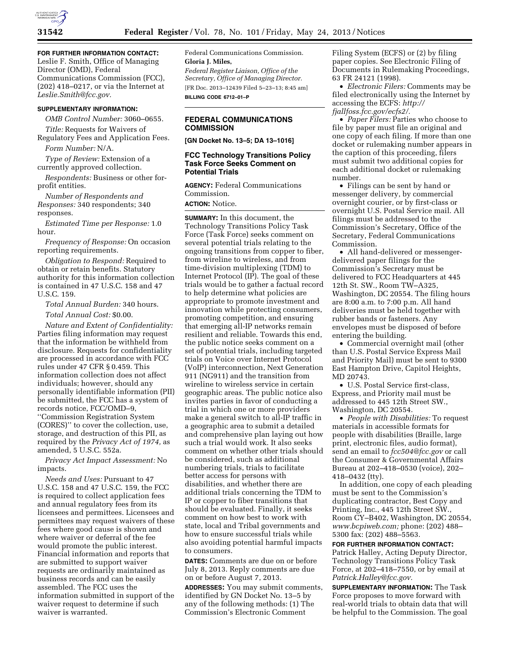

**FOR FURTHER INFORMATION CONTACT:**  Leslie F. Smith, Office of Managing Director (OMD), Federal Communications Commission (FCC), (202) 418–0217, or via the Internet at *[Leslie.Smith@fcc.gov.](mailto:Leslie.Smith@fcc.gov)* 

# **SUPPLEMENTARY INFORMATION:**

*OMB Control Number:* 3060–0655.

*Title:* Requests for Waivers of Regulatory Fees and Application Fees.

*Form Number:* N/A.

*Type of Review:* Extension of a currently approved collection.

*Respondents:* Business or other forprofit entities.

*Number of Respondents and Responses:* 340 respondents; 340 responses.

*Estimated Time per Response:* 1.0 hour.

*Frequency of Response:* On occasion reporting requirements.

*Obligation to Respond:* Required to obtain or retain benefits. Statutory authority for this information collection is contained in 47 U.S.C. 158 and 47 U.S.C. 159.

*Total Annual Burden:* 340 hours.

*Total Annual Cost:* \$0.00.

*Nature and Extent of Confidentiality:*  Parties filing information may request that the information be withheld from disclosure. Requests for confidentiality are processed in accordance with FCC rules under 47 CFR § 0.459. This information collection does not affect individuals; however, should any personally identifiable information (PII) be submitted, the FCC has a system of records notice, FCC/OMD–9, ''Commission Registration System (CORES)'' to cover the collection, use, storage, and destruction of this PII, as required by the *Privacy Act of 1974,* as amended, 5 U.S.C. 552a.

*Privacy Act Impact Assessment:* No impacts.

*Needs and Uses:* Pursuant to 47 U.S.C. 158 and 47 U.S.C. 159, the FCC is required to collect application fees and annual regulatory fees from its licensees and permittees. Licensees and permittees may request waivers of these fees where good cause is shown and where waiver or deferral of the fee would promote the public interest. Financial information and reports that are submitted to support waiver requests are ordinarily maintained as business records and can be easily assembled. The FCC uses the information submitted in support of the waiver request to determine if such waiver is warranted.

Federal Communications Commission. **Gloria J. Miles,** 

*Federal Register Liaison, Office of the Secretary, Office of Managing Director.*  [FR Doc. 2013–12439 Filed 5–23–13; 8:45 am] **BILLING CODE 6712–01–P** 

# **FEDERAL COMMUNICATIONS COMMISSION**

**[GN Docket No. 13–5; DA 13–1016]** 

# **FCC Technology Transitions Policy Task Force Seeks Comment on Potential Trials**

**AGENCY:** Federal Communications Commission.

**ACTION:** Notice.

**SUMMARY:** In this document, the Technology Transitions Policy Task Force (Task Force) seeks comment on several potential trials relating to the ongoing transitions from copper to fiber, from wireline to wireless, and from time-division multiplexing (TDM) to Internet Protocol (IP). The goal of these trials would be to gather a factual record to help determine what policies are appropriate to promote investment and innovation while protecting consumers, promoting competition, and ensuring that emerging all-IP networks remain resilient and reliable. Towards this end, the public notice seeks comment on a set of potential trials, including targeted trials on Voice over Internet Protocol (VoIP) interconnection, Next Generation 911 (NG911) and the transition from wireline to wireless service in certain geographic areas. The public notice also invites parties in favor of conducting a trial in which one or more providers make a general switch to all-IP traffic in a geographic area to submit a detailed and comprehensive plan laying out how such a trial would work. It also seeks comment on whether other trials should be considered, such as additional numbering trials, trials to facilitate better access for persons with disabilities, and whether there are additional trials concerning the TDM to IP or copper to fiber transitions that should be evaluated. Finally, it seeks comment on how best to work with state, local and Tribal governments and how to ensure successful trials while also avoiding potential harmful impacts to consumers.

**DATES:** Comments are due on or before July 8, 2013. Reply comments are due on or before August 7, 2013.

**ADDRESSES:** You may submit comments, identified by GN Docket No. 13–5 by any of the following methods: (1) The Commission's Electronic Comment

Filing System (ECFS) or (2) by filing paper copies. See Electronic Filing of Documents in Rulemaking Proceedings, 63 FR 24121 (1998).

• *Electronic Filers:* Comments may be filed electronically using the Internet by accessing the ECFS: *[http://](http://fjallfoss.fcc.gov/ecfs2/)  [fjallfoss.fcc.gov/ecfs2/.](http://fjallfoss.fcc.gov/ecfs2/)* 

• *Paper Filers:* Parties who choose to file by paper must file an original and one copy of each filing. If more than one docket or rulemaking number appears in the caption of this proceeding, filers must submit two additional copies for each additional docket or rulemaking number.

• Filings can be sent by hand or messenger delivery, by commercial overnight courier, or by first-class or overnight U.S. Postal Service mail. All filings must be addressed to the Commission's Secretary, Office of the Secretary, Federal Communications Commission.

• All hand-delivered or messengerdelivered paper filings for the Commission's Secretary must be delivered to FCC Headquarters at 445 12th St. SW., Room TW–A325, Washington, DC 20554. The filing hours are 8:00 a.m. to 7:00 p.m. All hand deliveries must be held together with rubber bands or fasteners. Any envelopes must be disposed of before entering the building.

• Commercial overnight mail (other than U.S. Postal Service Express Mail and Priority Mail) must be sent to 9300 East Hampton Drive, Capitol Heights, MD 20743.

• U.S. Postal Service first-class, Express, and Priority mail must be addressed to 445 12th Street SW., Washington, DC 20554.

• *People with Disabilities:* To request materials in accessible formats for people with disabilities (Braille, large print, electronic files, audio format), send an email to *[fcc504@fcc.gov](mailto:fcc504@fcc.gov)* or call the Consumer & Governmental Affairs Bureau at 202–418–0530 (voice), 202– 418–0432 (tty).

In addition, one copy of each pleading must be sent to the Commission's duplicating contractor, Best Copy and Printing, Inc., 445 12th Street SW., Room CY–B402, Washington, DC 20554, *[www.bcpiweb.com;](http://www.bcpiweb.com)* phone: (202) 488– 5300 fax: (202) 488–5563.

### **FOR FURTHER INFORMATION CONTACT:**

Patrick Halley, Acting Deputy Director, Technology Transitions Policy Task Force, at 202–418–7550, or by email at *[Patrick.Halley@fcc.gov.](mailto:Patrick.Halley@fcc.gov)* 

**SUPPLEMENTARY INFORMATION:** The Task Force proposes to move forward with real-world trials to obtain data that will be helpful to the Commission. The goal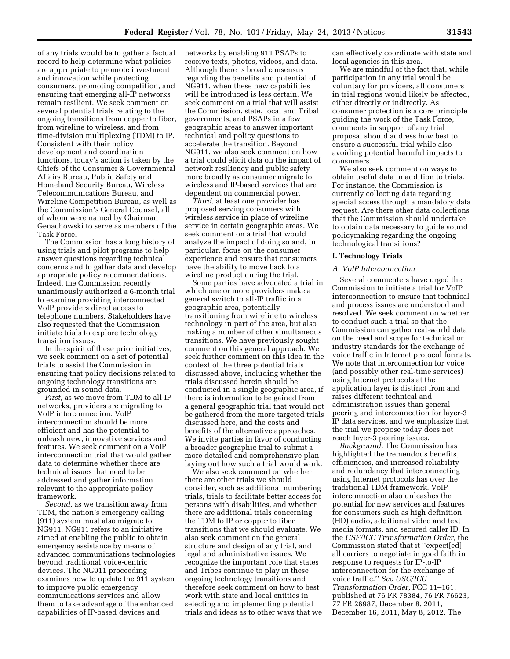of any trials would be to gather a factual record to help determine what policies are appropriate to promote investment and innovation while protecting consumers, promoting competition, and ensuring that emerging all-IP networks remain resilient. We seek comment on several potential trials relating to the ongoing transitions from copper to fiber, from wireline to wireless, and from time-division multiplexing (TDM) to IP. Consistent with their policy development and coordination functions, today's action is taken by the Chiefs of the Consumer & Governmental Affairs Bureau, Public Safety and Homeland Security Bureau, Wireless Telecommunications Bureau, and Wireline Competition Bureau, as well as the Commission's General Counsel, all of whom were named by Chairman Genachowski to serve as members of the Task Force.

The Commission has a long history of using trials and pilot programs to help answer questions regarding technical concerns and to gather data and develop appropriate policy recommendations. Indeed, the Commission recently unanimously authorized a 6-month trial to examine providing interconnected VoIP providers direct access to telephone numbers. Stakeholders have also requested that the Commission initiate trials to explore technology transition issues.

In the spirit of these prior initiatives, we seek comment on a set of potential trials to assist the Commission in ensuring that policy decisions related to ongoing technology transitions are grounded in sound data.

*First,* as we move from TDM to all-IP networks, providers are migrating to VoIP interconnection. VoIP interconnection should be more efficient and has the potential to unleash new, innovative services and features. We seek comment on a VoIP interconnection trial that would gather data to determine whether there are technical issues that need to be addressed and gather information relevant to the appropriate policy framework.

*Second,* as we transition away from TDM, the nation's emergency calling (911) system must also migrate to NG911. NG911 refers to an initiative aimed at enabling the public to obtain emergency assistance by means of advanced communications technologies beyond traditional voice-centric devices. The NG911 proceeding examines how to update the 911 system to improve public emergency communications services and allow them to take advantage of the enhanced capabilities of IP-based devices and

networks by enabling 911 PSAPs to receive texts, photos, videos, and data. Although there is broad consensus regarding the benefits and potential of NG911, when these new capabilities will be introduced is less certain. We seek comment on a trial that will assist the Commission, state, local and Tribal governments, and PSAPs in a few geographic areas to answer important technical and policy questions to accelerate the transition. Beyond NG911, we also seek comment on how a trial could elicit data on the impact of network resiliency and public safety more broadly as consumer migrate to wireless and IP-based services that are dependent on commercial power.

*Third,* at least one provider has proposed serving consumers with wireless service in place of wireline service in certain geographic areas. We seek comment on a trial that would analyze the impact of doing so and, in particular, focus on the consumer experience and ensure that consumers have the ability to move back to a wireline product during the trial.

Some parties have advocated a trial in which one or more providers make a general switch to all-IP traffic in a geographic area, potentially transitioning from wireline to wireless technology in part of the area, but also making a number of other simultaneous transitions. We have previously sought comment on this general approach. We seek further comment on this idea in the context of the three potential trials discussed above, including whether the trials discussed herein should be conducted in a single geographic area, if there is information to be gained from a general geographic trial that would not be gathered from the more targeted trials discussed here, and the costs and benefits of the alternative approaches. We invite parties in favor of conducting a broader geographic trial to submit a more detailed and comprehensive plan laying out how such a trial would work.

We also seek comment on whether there are other trials we should consider, such as additional numbering trials, trials to facilitate better access for persons with disabilities, and whether there are additional trials concerning the TDM to IP or copper to fiber transitions that we should evaluate. We also seek comment on the general structure and design of any trial, and legal and administrative issues. We recognize the important role that states and Tribes continue to play in these ongoing technology transitions and therefore seek comment on how to best work with state and local entities in selecting and implementing potential trials and ideas as to other ways that we can effectively coordinate with state and local agencies in this area.

We are mindful of the fact that, while participation in any trial would be voluntary for providers, all consumers in trial regions would likely be affected, either directly or indirectly. As consumer protection is a core principle guiding the work of the Task Force, comments in support of any trial proposal should address how best to ensure a successful trial while also avoiding potential harmful impacts to consumers.

We also seek comment on ways to obtain useful data in addition to trials. For instance, the Commission is currently collecting data regarding special access through a mandatory data request. Are there other data collections that the Commission should undertake to obtain data necessary to guide sound policymaking regarding the ongoing technological transitions?

#### **I. Technology Trials**

#### *A. VoIP Interconnection*

Several commenters have urged the Commission to initiate a trial for VoIP interconnection to ensure that technical and process issues are understood and resolved. We seek comment on whether to conduct such a trial so that the Commission can gather real-world data on the need and scope for technical or industry standards for the exchange of voice traffic in Internet protocol formats. We note that interconnection for voice (and possibly other real-time services) using Internet protocols at the application layer is distinct from and raises different technical and administration issues than general peering and interconnection for layer-3 IP data services, and we emphasize that the trial we propose today does not reach layer-3 peering issues.

*Background.* The Commission has highlighted the tremendous benefits, efficiencies, and increased reliability and redundancy that interconnecting using Internet protocols has over the traditional TDM framework. VoIP interconnection also unleashes the potential for new services and features for consumers such as high definition (HD) audio, additional video and text media formats, and secured caller ID. In the *USF/ICC Transformation Order,* the Commission stated that it ''expect[ed] all carriers to negotiate in good faith in response to requests for IP-to-IP interconnection for the exchange of voice traffic.'' *See USC/ICC Transformation Order,* FCC 11–161, published at 76 FR 78384, 76 FR 76623, 77 FR 26987, December 8, 2011, December 16, 2011, May 8, 2012. The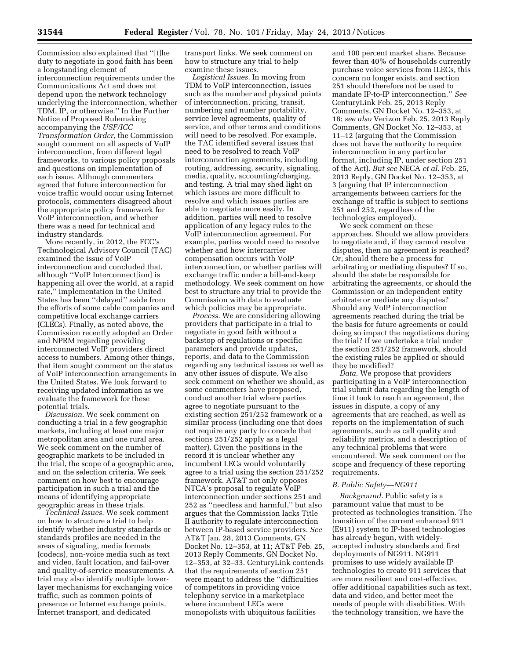Commission also explained that ''[t]he duty to negotiate in good faith has been a longstanding element of interconnection requirements under the Communications Act and does not depend upon the network technology underlying the interconnection, whether TDM, IP, or otherwise.'' In the Further Notice of Proposed Rulemaking accompanying the *USF/ICC Transformation Order,* the Commission sought comment on all aspects of VoIP interconnection, from different legal frameworks, to various policy proposals and questions on implementation of each issue. Although commenters agreed that future interconnection for voice traffic would occur using Internet protocols, commenters disagreed about the appropriate policy framework for VoIP interconnection, and whether there was a need for technical and industry standards.

More recently, in 2012, the FCC's Technological Advisory Council (TAC) examined the issue of VoIP interconnection and concluded that, although ''VoIP Interconnect[ion] is happening all over the world, at a rapid rate,'' implementation in the United States has been ''delayed'' aside from the efforts of some cable companies and competitive local exchange carriers (CLECs). Finally, as noted above, the Commission recently adopted an Order and NPRM regarding providing interconnected VoIP providers direct access to numbers. Among other things, that item sought comment on the status of VoIP interconnection arrangements in the United States. We look forward to receiving updated information as we evaluate the framework for these potential trials.

*Discussion.* We seek comment on conducting a trial in a few geographic markets, including at least one major metropolitan area and one rural area. We seek comment on the number of geographic markets to be included in the trial, the scope of a geographic area, and on the selection criteria. We seek comment on how best to encourage participation in such a trial and the means of identifying appropriate geographic areas in these trials.

*Technical Issues.* We seek comment on how to structure a trial to help identify whether industry standards or standards profiles are needed in the areas of signaling, media formats (codecs), non-voice media such as text and video, fault location, and fail-over and quality-of-service measurements. A trial may also identify multiple lowerlayer mechanisms for exchanging voice traffic, such as common points of presence or Internet exchange points, Internet transport, and dedicated

transport links. We seek comment on how to structure any trial to help examine these issues.

*Logistical Issues.* In moving from TDM to VoIP interconnection, issues such as the number and physical points of interconnection, pricing, transit, numbering and number portability, service level agreements, quality of service, and other terms and conditions will need to be resolved. For example, the TAC identified several issues that need to be resolved to reach VoIP interconnection agreements, including routing, addressing, security, signaling, media, quality, accounting/charging, and testing. A trial may shed light on which issues are more difficult to resolve and which issues parties are able to negotiate more easily. In addition, parties will need to resolve application of any legacy rules to the VoIP interconnection agreement. For example, parties would need to resolve whether and how intercarrier compensation occurs with VoIP interconnection, or whether parties will exchange traffic under a bill-and-keep methodology. We seek comment on how best to structure any trial to provide the Commission with data to evaluate which policies may be appropriate.

*Process.* We are considering allowing providers that participate in a trial to negotiate in good faith without a backstop of regulations or specific parameters and provide updates, reports, and data to the Commission regarding any technical issues as well as any other issues of dispute. We also seek comment on whether we should, as some commenters have proposed, conduct another trial where parties agree to negotiate pursuant to the existing section 251/252 framework or a similar process (including one that does not require any party to concede that sections 251/252 apply as a legal matter). Given the positions in the record it is unclear whether any incumbent LECs would voluntarily agree to a trial using the section 251/252 framework. AT&T not only opposes NTCA's proposal to regulate VoIP interconnection under sections 251 and 252 as ''needless and harmful,'' but also argues that the Commission lacks Title II authority to regulate interconnection between IP-based service providers. *See*  AT&T Jan. 28, 2013 Comments, GN Docket No. 12–353, at 11; AT&T Feb. 25, 2013 Reply Comments, GN Docket No. 12–353, at 32–33. CenturyLink contends that the requirements of section 251 were meant to address the ''difficulties of competitors in providing voice telephony service in a marketplace where incumbent LECs were monopolists with ubiquitous facilities

and 100 percent market share. Because fewer than 40% of households currently purchase voice services from ILECs, this concern no longer exists, and section 251 should therefore not be used to mandate IP-to-IP interconnection.'' *See*  CenturyLink Feb. 25, 2013 Reply Comments, GN Docket No. 12–353, at 18; *see also* Verizon Feb. 25, 2013 Reply Comments, GN Docket No. 12–353, at 11–12 (arguing that the Commission does not have the authority to require interconnection in any particular format, including IP, under section 251 of the Act). *But see* NECA *et al.* Feb. 25, 2013 Reply, GN Docket No. 12–353, at 3 (arguing that IP interconnection arrangements between carriers for the exchange of traffic is subject to sections 251 and 252, regardless of the technologies employed).

We seek comment on these approaches. Should we allow providers to negotiate and, if they cannot resolve disputes, then no agreement is reached? Or, should there be a process for arbitrating or mediating disputes? If so, should the state be responsible for arbitrating the agreements, or should the Commission or an independent entity arbitrate or mediate any disputes? Should any VoIP interconnection agreements reached during the trial be the basis for future agreements or could doing so impact the negotiations during the trial? If we undertake a trial under the section 251/252 framework, should the existing rules be applied or should they be modified?

*Data.* We propose that providers participating in a VoIP interconnection trial submit data regarding the length of time it took to reach an agreement, the issues in dispute, a copy of any agreements that are reached, as well as reports on the implementation of such agreements, such as call quality and reliability metrics, and a description of any technical problems that were encountered. We seek comment on the scope and frequency of these reporting requirements.

#### *B. Public Safety—NG911*

*Background.* Public safety is a paramount value that must to be protected as technologies transition. The transition of the current enhanced 911 (E911) system to IP-based technologies has already begun, with widelyaccepted industry standards and first deployments of NG911. NG911 promises to use widely available IP technologies to create 911 services that are more resilient and cost-effective, offer additional capabilities such as text, data and video, and better meet the needs of people with disabilities. With the technology transition, we have the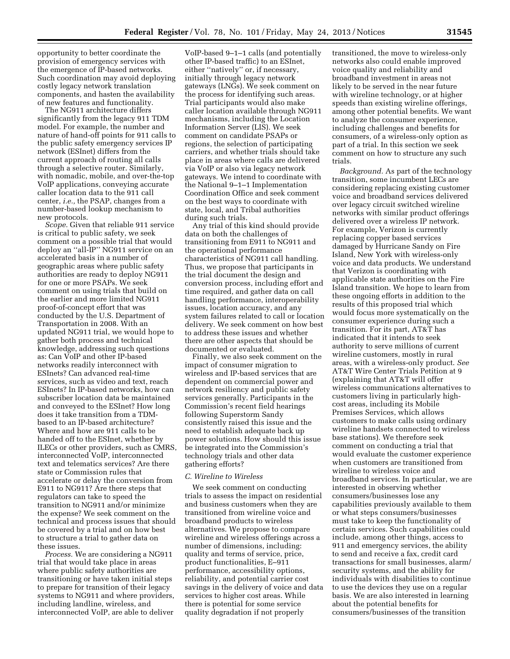opportunity to better coordinate the provision of emergency services with the emergence of IP-based networks. Such coordination may avoid deploying costly legacy network translation components, and hasten the availability of new features and functionality.

The NG911 architecture differs significantly from the legacy 911 TDM model. For example, the number and nature of hand-off points for 911 calls to the public safety emergency services IP network (ESInet) differs from the current approach of routing all calls through a selective router. Similarly, with nomadic, mobile, and over-the-top VoIP applications, conveying accurate caller location data to the 911 call center, *i.e.,* the PSAP, changes from a number-based lookup mechanism to new protocols.

*Scope.* Given that reliable 911 service is critical to public safety, we seek comment on a possible trial that would deploy an ''all-IP'' NG911 service on an accelerated basis in a number of geographic areas where public safety authorities are ready to deploy NG911 for one or more PSAPs. We seek comment on using trials that build on the earlier and more limited NG911 proof-of-concept effort that was conducted by the U.S. Department of Transportation in 2008. With an updated NG911 trial, we would hope to gather both process and technical knowledge, addressing such questions as: Can VoIP and other IP-based networks readily interconnect with ESInets? Can advanced real-time services, such as video and text, reach ESInets? In IP-based networks, how can subscriber location data be maintained and conveyed to the ESInet? How long does it take transition from a TDMbased to an IP-based architecture? Where and how are 911 calls to be handed off to the ESInet, whether by ILECs or other providers, such as CMRS, interconnected VoIP, interconnected text and telematics services? Are there state or Commission rules that accelerate or delay the conversion from E911 to NG911? Are there steps that regulators can take to speed the transition to NG911 and/or minimize the expense? We seek comment on the technical and process issues that should be covered by a trial and on how best to structure a trial to gather data on these issues.

*Process.* We are considering a NG911 trial that would take place in areas where public safety authorities are transitioning or have taken initial steps to prepare for transition of their legacy systems to NG911 and where providers, including landline, wireless, and interconnected VoIP, are able to deliver

VoIP-based 9–1–1 calls (and potentially other IP-based traffic) to an ESInet, either ''natively'' or, if necessary, initially through legacy network gateways (LNGs). We seek comment on the process for identifying such areas. Trial participants would also make caller location available through NG911 mechanisms, including the Location Information Server (LIS). We seek comment on candidate PSAPs or regions, the selection of participating carriers, and whether trials should take place in areas where calls are delivered via VoIP or also via legacy network gateways. We intend to coordinate with the National 9–1–1 Implementation Coordination Office and seek comment on the best ways to coordinate with state, local, and Tribal authorities during such trials.

Any trial of this kind should provide data on both the challenges of transitioning from E911 to NG911 and the operational performance characteristics of NG911 call handling. Thus, we propose that participants in the trial document the design and conversion process, including effort and time required, and gather data on call handling performance, interoperability issues, location accuracy, and any system failures related to call or location delivery. We seek comment on how best to address these issues and whether there are other aspects that should be documented or evaluated.

Finally, we also seek comment on the impact of consumer migration to wireless and IP-based services that are dependent on commercial power and network resiliency and public safety services generally. Participants in the Commission's recent field hearings following Superstorm Sandy consistently raised this issue and the need to establish adequate back up power solutions. How should this issue be integrated into the Commission's technology trials and other data gathering efforts?

#### *C. Wireline to Wireless*

We seek comment on conducting trials to assess the impact on residential and business customers when they are transitioned from wireline voice and broadband products to wireless alternatives. We propose to compare wireline and wireless offerings across a number of dimensions, including: quality and terms of service, price, product functionalities, E–911 performance, accessibility options, reliability, and potential carrier cost savings in the delivery of voice and data services to higher cost areas. While there is potential for some service quality degradation if not properly

transitioned, the move to wireless-only networks also could enable improved voice quality and reliability and broadband investment in areas not likely to be served in the near future with wireline technology, or at higher speeds than existing wireline offerings, among other potential benefits. We want to analyze the consumer experience, including challenges and benefits for consumers, of a wireless-only option as part of a trial. In this section we seek comment on how to structure any such trials.

*Background.* As part of the technology transition, some incumbent LECs are considering replacing existing customer voice and broadband services delivered over legacy circuit switched wireline networks with similar product offerings delivered over a wireless IP network. For example, Verizon is currently replacing copper based services damaged by Hurricane Sandy on Fire Island, New York with wireless-only voice and data products. We understand that Verizon is coordinating with applicable state authorities on the Fire Island transition. We hope to learn from these ongoing efforts in addition to the results of this proposed trial which would focus more systematically on the consumer experience during such a transition. For its part, AT&T has indicated that it intends to seek authority to serve millions of current wireline customers, mostly in rural areas, with a wireless-only product. *See*  AT&T Wire Center Trials Petition at 9 (explaining that AT&T will offer wireless communications alternatives to customers living in particularly highcost areas, including its Mobile Premises Services, which allows customers to make calls using ordinary wireline handsets connected to wireless base stations). We therefore seek comment on conducting a trial that would evaluate the customer experience when customers are transitioned from wireline to wireless voice and broadband services. In particular, we are interested in observing whether consumers/businesses lose any capabilities previously available to them or what steps consumers/businesses must take to keep the functionality of certain services. Such capabilities could include, among other things, access to 911 and emergency services, the ability to send and receive a fax, credit card transactions for small businesses, alarm/ security systems, and the ability for individuals with disabilities to continue to use the devices they use on a regular basis. We are also interested in learning about the potential benefits for consumers/businesses of the transition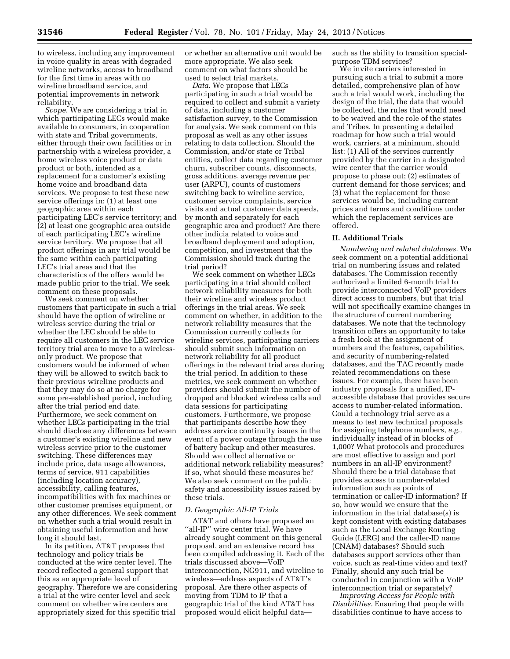to wireless, including any improvement in voice quality in areas with degraded wireline networks, access to broadband for the first time in areas with no wireline broadband service, and potential improvements in network reliability.

*Scope.* We are considering a trial in which participating LECs would make available to consumers, in cooperation with state and Tribal governments, either through their own facilities or in partnership with a wireless provider, a home wireless voice product or data product or both, intended as a replacement for a customer's existing home voice and broadband data services. We propose to test these new service offerings in: (1) at least one geographic area within each participating LEC's service territory; and (2) at least one geographic area outside of each participating LEC's wireline service territory. We propose that all product offerings in any trial would be the same within each participating LEC's trial areas and that the characteristics of the offers would be made public prior to the trial. We seek comment on these proposals.

We seek comment on whether customers that participate in such a trial should have the option of wireline or wireless service during the trial or whether the LEC should be able to require all customers in the LEC service territory trial area to move to a wirelessonly product. We propose that customers would be informed of when they will be allowed to switch back to their previous wireline products and that they may do so at no charge for some pre-established period, including after the trial period end date. Furthermore, we seek comment on whether LECs participating in the trial should disclose any differences between a customer's existing wireline and new wireless service prior to the customer switching. These differences may include price, data usage allowances, terms of service, 911 capabilities (including location accuracy), accessibility, calling features, incompatibilities with fax machines or other customer premises equipment, or any other differences. We seek comment on whether such a trial would result in obtaining useful information and how long it should last.

In its petition, AT&T proposes that technology and policy trials be conducted at the wire center level. The record reflected a general support that this as an appropriate level of geography. Therefore we are considering a trial at the wire center level and seek comment on whether wire centers are appropriately sized for this specific trial

or whether an alternative unit would be more appropriate. We also seek comment on what factors should be used to select trial markets.

*Data.* We propose that LECs participating in such a trial would be required to collect and submit a variety of data, including a customer satisfaction survey, to the Commission for analysis. We seek comment on this proposal as well as any other issues relating to data collection. Should the Commission, and/or state or Tribal entities, collect data regarding customer churn, subscriber counts, disconnects, gross additions, average revenue per user (ARPU), counts of customers switching back to wireline service, customer service complaints, service visits and actual customer data speeds, by month and separately for each geographic area and product? Are there other indicia related to voice and broadband deployment and adoption, competition, and investment that the Commission should track during the trial period?

We seek comment on whether LECs participating in a trial should collect network reliability measures for both their wireline and wireless product offerings in the trial areas. We seek comment on whether, in addition to the network reliability measures that the Commission currently collects for wireline services, participating carriers should submit such information on network reliability for all product offerings in the relevant trial area during the trial period. In addition to these metrics, we seek comment on whether providers should submit the number of dropped and blocked wireless calls and data sessions for participating customers. Furthermore, we propose that participants describe how they address service continuity issues in the event of a power outage through the use of battery backup and other measures. Should we collect alternative or additional network reliability measures? If so, what should these measures be? We also seek comment on the public safety and accessibility issues raised by these trials.

#### *D. Geographic All-IP Trials*

AT&T and others have proposed an ''all-IP'' wire center trial. We have already sought comment on this general proposal, and an extensive record has been compiled addressing it. Each of the trials discussed above—VoIP interconnection, NG911, and wireline to wireless—address aspects of AT&T's proposal. Are there other aspects of moving from TDM to IP that a geographic trial of the kind AT&T has proposed would elicit helpful datasuch as the ability to transition specialpurpose TDM services?

We invite carriers interested in pursuing such a trial to submit a more detailed, comprehensive plan of how such a trial would work, including the design of the trial, the data that would be collected, the rules that would need to be waived and the role of the states and Tribes. In presenting a detailed roadmap for how such a trial would work, carriers, at a minimum, should list: (1) All of the services currently provided by the carrier in a designated wire center that the carrier would propose to phase out; (2) estimates of current demand for those services; and (3) what the replacement for those services would be, including current prices and terms and conditions under which the replacement services are offered.

#### **II. Additional Trials**

*Numbering and related databases.* We seek comment on a potential additional trial on numbering issues and related databases. The Commission recently authorized a limited 6-month trial to provide interconnected VoIP providers direct access to numbers, but that trial will not specifically examine changes in the structure of current numbering databases. We note that the technology transition offers an opportunity to take a fresh look at the assignment of numbers and the features, capabilities, and security of numbering-related databases, and the TAC recently made related recommendations on these issues. For example, there have been industry proposals for a unified, IPaccessible database that provides secure access to number-related information. Could a technology trial serve as a means to test new technical proposals for assigning telephone numbers, *e.g.,*  individually instead of in blocks of 1,000? What protocols and procedures are most effective to assign and port numbers in an all-IP environment? Should there be a trial database that provides access to number-related information such as points of termination or caller-ID information? If so, how would we ensure that the information in the trial database(s) is kept consistent with existing databases such as the Local Exchange Routing Guide (LERG) and the caller-ID name (CNAM) databases? Should such databases support services other than voice, such as real-time video and text? Finally, should any such trial be conducted in conjunction with a VoIP interconnection trial or separately?

*Improving Access for People with Disabilities.* Ensuring that people with disabilities continue to have access to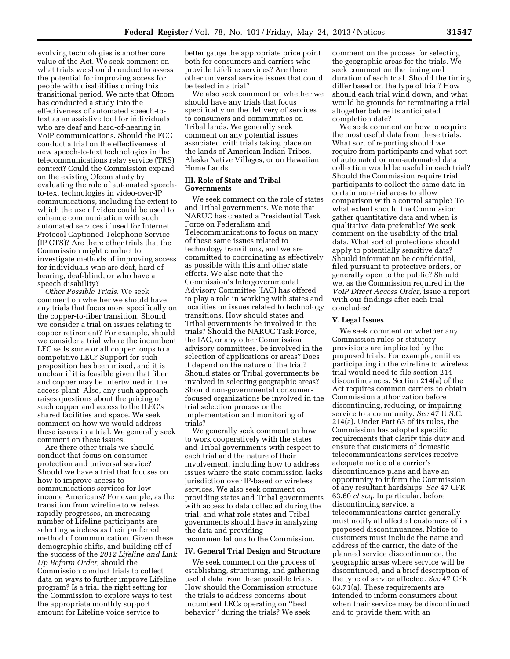evolving technologies is another core value of the Act. We seek comment on what trials we should conduct to assess the potential for improving access for people with disabilities during this transitional period. We note that Ofcom has conducted a study into the effectiveness of automated speech-totext as an assistive tool for individuals who are deaf and hard-of-hearing in VoIP communications. Should the FCC conduct a trial on the effectiveness of new speech-to-text technologies in the telecommunications relay service (TRS) context? Could the Commission expand on the existing Ofcom study by evaluating the role of automated speechto-text technologies in video-over-IP communications, including the extent to which the use of video could be used to enhance communication with such automated services if used for Internet Protocol Captioned Telephone Service (IP CTS)? Are there other trials that the Commission might conduct to investigate methods of improving access for individuals who are deaf, hard of hearing, deaf-blind, or who have a speech disability?

*Other Possible Trials.* We seek comment on whether we should have any trials that focus more specifically on the copper-to-fiber transition. Should we consider a trial on issues relating to copper retirement? For example, should we consider a trial where the incumbent LEC sells some or all copper loops to a competitive LEC? Support for such proposition has been mixed, and it is unclear if it is feasible given that fiber and copper may be intertwined in the access plant. Also, any such approach raises questions about the pricing of such copper and access to the ILEC's shared facilities and space. We seek comment on how we would address these issues in a trial. We generally seek comment on these issues.

Are there other trials we should conduct that focus on consumer protection and universal service? Should we have a trial that focuses on how to improve access to communications services for lowincome Americans? For example, as the transition from wireline to wireless rapidly progresses, an increasing number of Lifeline participants are selecting wireless as their preferred method of communication. Given these demographic shifts, and building off of the success of the *2012 Lifeline and Link Up Reform Order,* should the Commission conduct trials to collect data on ways to further improve Lifeline program? Is a trial the right setting for the Commission to explore ways to test the appropriate monthly support amount for Lifeline voice service to

better gauge the appropriate price point both for consumers and carriers who provide Lifeline services? Are there other universal service issues that could be tested in a trial?

We also seek comment on whether we should have any trials that focus specifically on the delivery of services to consumers and communities on Tribal lands. We generally seek comment on any potential issues associated with trials taking place on the lands of American Indian Tribes, Alaska Native Villages, or on Hawaiian Home Lands.

#### **III. Role of State and Tribal Governments**

We seek comment on the role of states and Tribal governments. We note that NARUC has created a Presidential Task Force on Federalism and Telecommunications to focus on many of these same issues related to technology transitions, and we are committed to coordinating as effectively as possible with this and other state efforts. We also note that the Commission's Intergovernmental Advisory Committee (IAC) has offered to play a role in working with states and localities on issues related to technology transitions. How should states and Tribal governments be involved in the trials? Should the NARUC Task Force, the IAC, or any other Commission advisory committees, be involved in the selection of applications or areas? Does it depend on the nature of the trial? Should states or Tribal governments be involved in selecting geographic areas? Should non-governmental consumerfocused organizations be involved in the trial selection process or the implementation and monitoring of trials?

We generally seek comment on how to work cooperatively with the states and Tribal governments with respect to each trial and the nature of their involvement, including how to address issues where the state commission lacks jurisdiction over IP-based or wireless services. We also seek comment on providing states and Tribal governments with access to data collected during the trial, and what role states and Tribal governments should have in analyzing the data and providing recommendations to the Commission.

#### **IV. General Trial Design and Structure**

We seek comment on the process of establishing, structuring, and gathering useful data from these possible trials. How should the Commission structure the trials to address concerns about incumbent LECs operating on ''best behavior'' during the trials? We seek

comment on the process for selecting the geographic areas for the trials. We seek comment on the timing and duration of each trial. Should the timing differ based on the type of trial? How should each trial wind down, and what would be grounds for terminating a trial altogether before its anticipated completion date?

We seek comment on how to acquire the most useful data from these trials. What sort of reporting should we require from participants and what sort of automated or non-automated data collection would be useful in each trial? Should the Commission require trial participants to collect the same data in certain non-trial areas to allow comparison with a control sample? To what extent should the Commission gather quantitative data and when is qualitative data preferable? We seek comment on the usability of the trial data. What sort of protections should apply to potentially sensitive data? Should information be confidential, filed pursuant to protective orders, or generally open to the public? Should we, as the Commission required in the *VoIP Direct Access Order,* issue a report with our findings after each trial concludes?

#### **V. Legal Issues**

We seek comment on whether any Commission rules or statutory provisions are implicated by the proposed trials. For example, entities participating in the wireline to wireless trial would need to file section 214 discontinuances. Section 214(a) of the Act requires common carriers to obtain Commission authorization before discontinuing, reducing, or impairing service to a community. *See* 47 U.S.C. 214(a). Under Part 63 of its rules, the Commission has adopted specific requirements that clarify this duty and ensure that customers of domestic telecommunications services receive adequate notice of a carrier's discontinuance plans and have an opportunity to inform the Commission of any resultant hardships. *See* 47 CFR 63.60 *et seq.* In particular, before discontinuing service, a telecommunications carrier generally must notify all affected customers of its proposed discontinuances. Notice to customers must include the name and address of the carrier, the date of the planned service discontinuance, the geographic areas where service will be discontinued, and a brief description of the type of service affected. *See* 47 CFR 63.71(a). These requirements are intended to inform consumers about when their service may be discontinued and to provide them with an